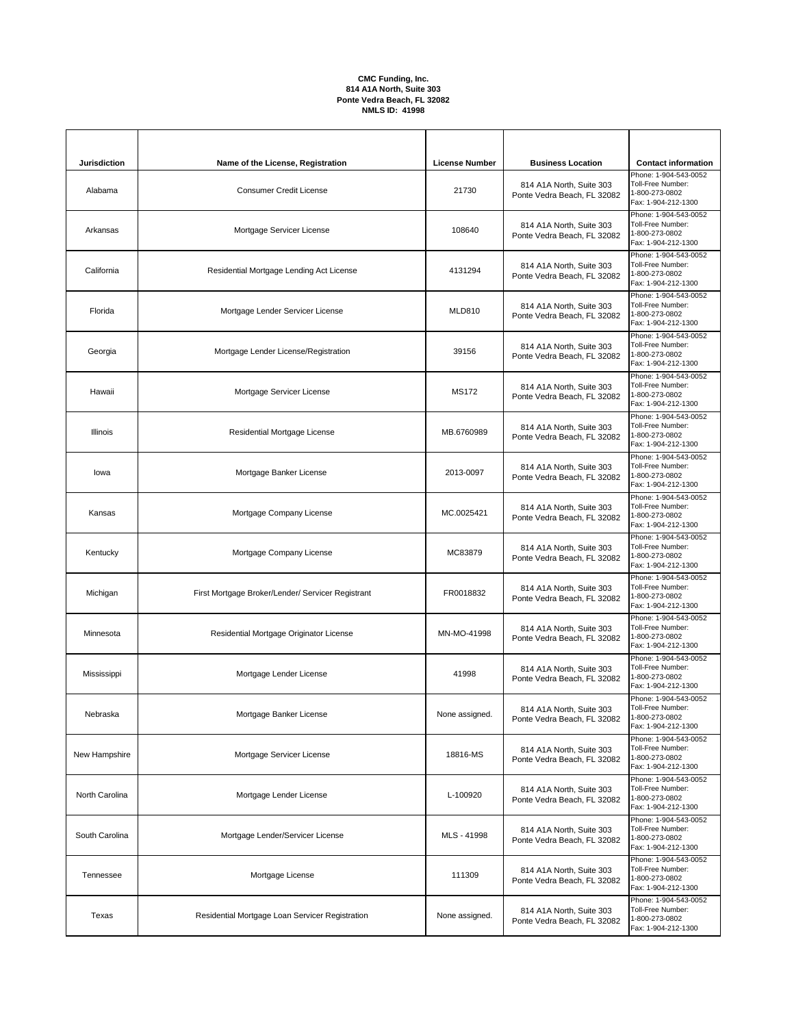## **CMC Funding, Inc. 814 A1A North, Suite 303 Ponte Vedra Beach, FL 32082 NMLS ID: 41998**

| <b>Jurisdiction</b> | Name of the License, Registration                 | <b>License Number</b> | <b>Business Location</b>                                | <b>Contact information</b>                                                          |
|---------------------|---------------------------------------------------|-----------------------|---------------------------------------------------------|-------------------------------------------------------------------------------------|
| Alabama             | <b>Consumer Credit License</b>                    | 21730                 | 814 A1A North, Suite 303<br>Ponte Vedra Beach, FL 32082 | Phone: 1-904-543-0052<br>Toll-Free Number:<br>1-800-273-0802<br>Fax: 1-904-212-1300 |
| Arkansas            | Mortgage Servicer License                         | 108640                | 814 A1A North, Suite 303<br>Ponte Vedra Beach, FL 32082 | Phone: 1-904-543-0052<br>Toll-Free Number:<br>1-800-273-0802<br>Fax: 1-904-212-1300 |
| California          | Residential Mortgage Lending Act License          | 4131294               | 814 A1A North, Suite 303<br>Ponte Vedra Beach, FL 32082 | Phone: 1-904-543-0052<br>Toll-Free Number:<br>1-800-273-0802<br>Fax: 1-904-212-1300 |
| Florida             | Mortgage Lender Servicer License                  | <b>MLD810</b>         | 814 A1A North, Suite 303<br>Ponte Vedra Beach, FL 32082 | Phone: 1-904-543-0052<br>Toll-Free Number:<br>1-800-273-0802<br>Fax: 1-904-212-1300 |
| Georgia             | Mortgage Lender License/Registration              | 39156                 | 814 A1A North, Suite 303<br>Ponte Vedra Beach, FL 32082 | Phone: 1-904-543-0052<br>Toll-Free Number:<br>1-800-273-0802<br>Fax: 1-904-212-1300 |
| Hawaii              | Mortgage Servicer License                         | <b>MS172</b>          | 814 A1A North, Suite 303<br>Ponte Vedra Beach, FL 32082 | Phone: 1-904-543-0052<br>Toll-Free Number:<br>1-800-273-0802<br>Fax: 1-904-212-1300 |
| Illinois            | Residential Mortgage License                      | MB.6760989            | 814 A1A North, Suite 303<br>Ponte Vedra Beach, FL 32082 | Phone: 1-904-543-0052<br>Toll-Free Number:<br>1-800-273-0802<br>Fax: 1-904-212-1300 |
| lowa                | Mortgage Banker License                           | 2013-0097             | 814 A1A North, Suite 303<br>Ponte Vedra Beach, FL 32082 | Phone: 1-904-543-0052<br>Toll-Free Number:<br>1-800-273-0802<br>Fax: 1-904-212-1300 |
| Kansas              | Mortgage Company License                          | MC.0025421            | 814 A1A North, Suite 303<br>Ponte Vedra Beach, FL 32082 | Phone: 1-904-543-0052<br>Toll-Free Number:<br>1-800-273-0802<br>Fax: 1-904-212-1300 |
| Kentucky            | Mortgage Company License                          | MC83879               | 814 A1A North, Suite 303<br>Ponte Vedra Beach, FL 32082 | Phone: 1-904-543-0052<br>Toll-Free Number:<br>1-800-273-0802<br>Fax: 1-904-212-1300 |
| Michigan            | First Mortgage Broker/Lender/ Servicer Registrant | FR0018832             | 814 A1A North, Suite 303<br>Ponte Vedra Beach, FL 32082 | Phone: 1-904-543-0052<br>Toll-Free Number:<br>1-800-273-0802<br>Fax: 1-904-212-1300 |
| Minnesota           | Residential Mortgage Originator License           | MN-MO-41998           | 814 A1A North, Suite 303<br>Ponte Vedra Beach, FL 32082 | Phone: 1-904-543-0052<br>Toll-Free Number:<br>1-800-273-0802<br>Fax: 1-904-212-1300 |
| Mississippi         | Mortgage Lender License                           | 41998                 | 814 A1A North, Suite 303<br>Ponte Vedra Beach, FL 32082 | Phone: 1-904-543-0052<br>Toll-Free Number:<br>1-800-273-0802<br>Fax: 1-904-212-1300 |
| Nebraska            | Mortgage Banker License                           | None assigned.        | 814 A1A North, Suite 303<br>Ponte Vedra Beach, FL 32082 | Phone: 1-904-543-0052<br>Toll-Free Number:<br>1-800-273-0802<br>Fax: 1-904-212-1300 |
| New Hampshire       | Mortgage Servicer License                         | 18816-MS              | 814 A1A North, Suite 303<br>Ponte Vedra Beach, FL 32082 | Phone: 1-904-543-0052<br>Toll-Free Number:<br>1-800-273-0802<br>Fax: 1-904-212-1300 |
| North Carolina      | Mortgage Lender License                           | L-100920              | 814 A1A North, Suite 303<br>Ponte Vedra Beach, FL 32082 | Phone: 1-904-543-0052<br>Toll-Free Number:<br>1-800-273-0802<br>Fax: 1-904-212-1300 |
| South Carolina      | Mortgage Lender/Servicer License                  | MLS-41998             | 814 A1A North, Suite 303<br>Ponte Vedra Beach, FL 32082 | Phone: 1-904-543-0052<br>Toll-Free Number:<br>1-800-273-0802<br>Fax: 1-904-212-1300 |
| Tennessee           | Mortgage License                                  | 111309                | 814 A1A North, Suite 303<br>Ponte Vedra Beach, FL 32082 | Phone: 1-904-543-0052<br>Toll-Free Number:<br>1-800-273-0802<br>Fax: 1-904-212-1300 |
| Texas               | Residential Mortgage Loan Servicer Registration   | None assigned.        | 814 A1A North, Suite 303<br>Ponte Vedra Beach, FL 32082 | Phone: 1-904-543-0052<br>Toll-Free Number:<br>1-800-273-0802<br>Fax: 1-904-212-1300 |